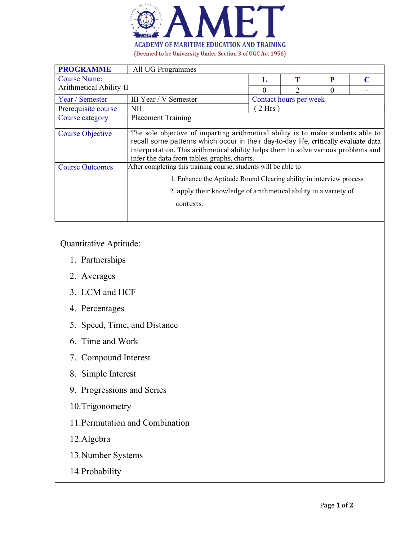

| <b>PROGRAMME</b>        | All UG Programmes                                                                                                                                                                                                                                                                                            |                        |   |   |  |
|-------------------------|--------------------------------------------------------------------------------------------------------------------------------------------------------------------------------------------------------------------------------------------------------------------------------------------------------------|------------------------|---|---|--|
| <b>Course Name:</b>     |                                                                                                                                                                                                                                                                                                              | L                      | Т | P |  |
| Arithmetical Ability-II |                                                                                                                                                                                                                                                                                                              | 0                      |   |   |  |
| Year / Semester         | III Year / V Semester                                                                                                                                                                                                                                                                                        | Contact hours per week |   |   |  |
| Prerequisite course     | NIL                                                                                                                                                                                                                                                                                                          | $2 Hrs$ )              |   |   |  |
| Course category         | <b>Placement Training</b>                                                                                                                                                                                                                                                                                    |                        |   |   |  |
| Course Objective        | The sole objective of imparting arithmetical ability is to make students able to<br>recall some patterns which occur in their day-to-day life, critically evaluate data<br>interpretation. This arithmetical ability helps them to solve various problems and<br>infer the data from tables, graphs, charts. |                        |   |   |  |
| <b>Course Outcomes</b>  | After completing this training course, students will be able to                                                                                                                                                                                                                                              |                        |   |   |  |
|                         | 1. Enhance the Aptitude Round Clearing ability in interview process                                                                                                                                                                                                                                          |                        |   |   |  |
|                         | 2. apply their knowledge of arithmetical ability in a variety of                                                                                                                                                                                                                                             |                        |   |   |  |
|                         | contexts.                                                                                                                                                                                                                                                                                                    |                        |   |   |  |
|                         |                                                                                                                                                                                                                                                                                                              |                        |   |   |  |

## Quantitative Aptitude:

- 1. Partnerships
- 2. Averages
- 3. LCM and HCF
- 4. Percentages
- 5. Speed, Time, and Distance
- 6. Time and Work
- 7. Compound Interest
- 8. Simple Interest
- 9. Progressions and Series
- 10.Trigonometry
- 11.Permutation and Combination
- 12.Algebra
- 13.Number Systems
- 14.Probability